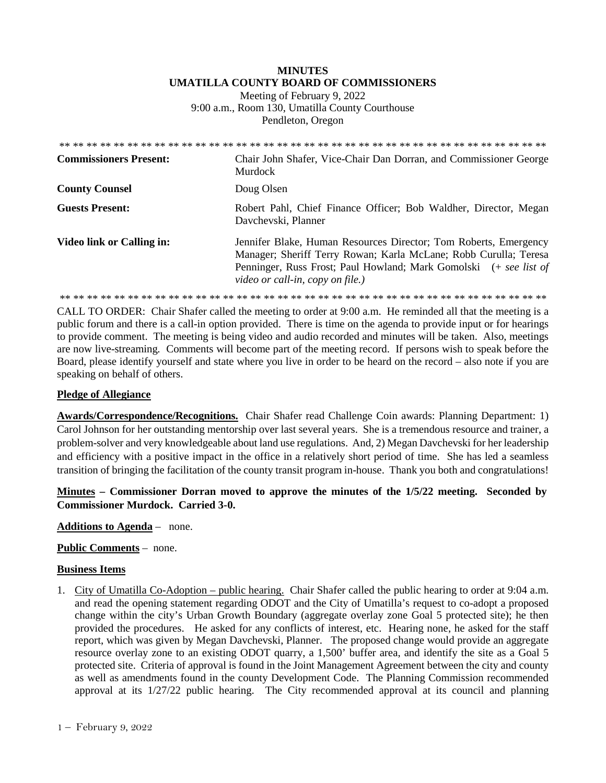# **MINUTES UMATILLA COUNTY BOARD OF COMMISSIONERS**

Meeting of February 9, 2022 9:00 a.m., Room 130, Umatilla County Courthouse Pendleton, Oregon

| <b>Commissioners Present:</b> | Chair John Shafer, Vice-Chair Dan Dorran, and Commissioner George<br>Murdock                                                                                                                                                                  |
|-------------------------------|-----------------------------------------------------------------------------------------------------------------------------------------------------------------------------------------------------------------------------------------------|
| <b>County Counsel</b>         | Doug Olsen                                                                                                                                                                                                                                    |
| <b>Guests Present:</b>        | Robert Pahl, Chief Finance Officer; Bob Waldher, Director, Megan<br>Davchevski, Planner                                                                                                                                                       |
| Video link or Calling in:     | Jennifer Blake, Human Resources Director; Tom Roberts, Emergency<br>Manager; Sheriff Terry Rowan; Karla McLane; Robb Curulla; Teresa<br>Penninger, Russ Frost; Paul Howland; Mark Gomolski (+ see list of<br>video or call-in, copy on file.) |
|                               |                                                                                                                                                                                                                                               |

CALL TO ORDER: Chair Shafer called the meeting to order at 9:00 a.m. He reminded all that the meeting is a public forum and there is a call-in option provided. There is time on the agenda to provide input or for hearings to provide comment. The meeting is being video and audio recorded and minutes will be taken. Also, meetings are now live-streaming*.* Comments will become part of the meeting record. If persons wish to speak before the Board, please identify yourself and state where you live in order to be heard on the record – also note if you are speaking on behalf of others.

## **Pledge of Allegiance**

**Awards/Correspondence/Recognitions.** Chair Shafer read Challenge Coin awards: Planning Department: 1) Carol Johnson for her outstanding mentorship over last several years. She is a tremendous resource and trainer, a problem-solver and very knowledgeable about land use regulations. And, 2) Megan Davchevski for her leadership and efficiency with a positive impact in the office in a relatively short period of time. She has led a seamless transition of bringing the facilitation of the county transit program in-house. Thank you both and congratulations!

**Minutes – Commissioner Dorran moved to approve the minutes of the 1/5/22 meeting. Seconded by Commissioner Murdock. Carried 3-0.** 

**Additions to Agenda** – none.

## **Public Comments** – none.

## **Business Items**

1. City of Umatilla Co-Adoption – public hearing. Chair Shafer called the public hearing to order at 9:04 a.m. and read the opening statement regarding ODOT and the City of Umatilla's request to co-adopt a proposed change within the city's Urban Growth Boundary (aggregate overlay zone Goal 5 protected site); he then provided the procedures. He asked for any conflicts of interest, etc. Hearing none, he asked for the staff report, which was given by Megan Davchevski, Planner. The proposed change would provide an aggregate resource overlay zone to an existing ODOT quarry, a 1,500' buffer area, and identify the site as a Goal 5 protected site. Criteria of approval is found in the Joint Management Agreement between the city and county as well as amendments found in the county Development Code. The Planning Commission recommended approval at its 1/27/22 public hearing. The City recommended approval at its council and planning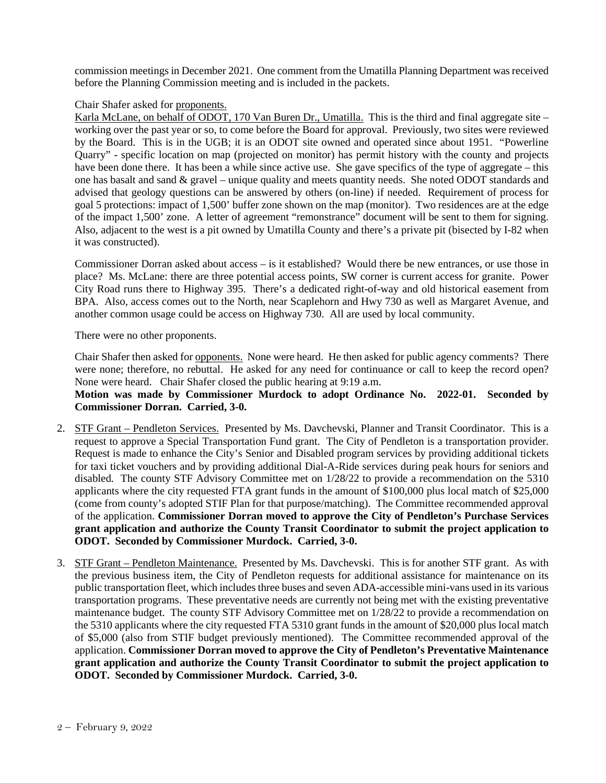commission meetings in December 2021. One comment from the Umatilla Planning Department was received before the Planning Commission meeting and is included in the packets.

#### Chair Shafer asked for proponents.

Karla McLane, on behalf of ODOT, 170 Van Buren Dr., Umatilla. This is the third and final aggregate site – working over the past year or so, to come before the Board for approval. Previously, two sites were reviewed by the Board. This is in the UGB; it is an ODOT site owned and operated since about 1951. "Powerline Quarry" - specific location on map (projected on monitor) has permit history with the county and projects have been done there. It has been a while since active use. She gave specifics of the type of aggregate – this one has basalt and sand & gravel – unique quality and meets quantity needs. She noted ODOT standards and advised that geology questions can be answered by others (on-line) if needed. Requirement of process for goal 5 protections: impact of 1,500' buffer zone shown on the map (monitor). Two residences are at the edge of the impact 1,500' zone. A letter of agreement "remonstrance" document will be sent to them for signing. Also, adjacent to the west is a pit owned by Umatilla County and there's a private pit (bisected by I-82 when it was constructed).

Commissioner Dorran asked about access – is it established? Would there be new entrances, or use those in place? Ms. McLane: there are three potential access points, SW corner is current access for granite. Power City Road runs there to Highway 395. There's a dedicated right-of-way and old historical easement from BPA. Also, access comes out to the North, near Scaplehorn and Hwy 730 as well as Margaret Avenue, and another common usage could be access on Highway 730. All are used by local community.

There were no other proponents.

Chair Shafer then asked for opponents. None were heard. He then asked for public agency comments? There were none; therefore, no rebuttal. He asked for any need for continuance or call to keep the record open? None were heard. Chair Shafer closed the public hearing at 9:19 a.m.

**Motion was made by Commissioner Murdock to adopt Ordinance No. 2022-01. Seconded by Commissioner Dorran. Carried, 3-0.** 

- 2. STF Grant Pendleton Services. Presented by Ms. Davchevski, Planner and Transit Coordinator. This is a request to approve a Special Transportation Fund grant. The City of Pendleton is a transportation provider. Request is made to enhance the City's Senior and Disabled program services by providing additional tickets for taxi ticket vouchers and by providing additional Dial-A-Ride services during peak hours for seniors and disabled. The county STF Advisory Committee met on 1/28/22 to provide a recommendation on the 5310 applicants where the city requested FTA grant funds in the amount of \$100,000 plus local match of \$25,000 (come from county's adopted STIF Plan for that purpose/matching). The Committee recommended approval of the application. **Commissioner Dorran moved to approve the City of Pendleton's Purchase Services grant application and authorize the County Transit Coordinator to submit the project application to ODOT. Seconded by Commissioner Murdock. Carried, 3-0.**
- 3. STF Grant Pendleton Maintenance. Presented by Ms. Davchevski. This is for another STF grant. As with the previous business item, the City of Pendleton requests for additional assistance for maintenance on its public transportation fleet, which includes three buses and seven ADA-accessible mini-vans used in its various transportation programs. These preventative needs are currently not being met with the existing preventative maintenance budget. The county STF Advisory Committee met on 1/28/22 to provide a recommendation on the 5310 applicants where the city requested FTA 5310 grant funds in the amount of \$20,000 plus local match of \$5,000 (also from STIF budget previously mentioned). The Committee recommended approval of the application. **Commissioner Dorran moved to approve the City of Pendleton's Preventative Maintenance grant application and authorize the County Transit Coordinator to submit the project application to ODOT. Seconded by Commissioner Murdock. Carried, 3-0.**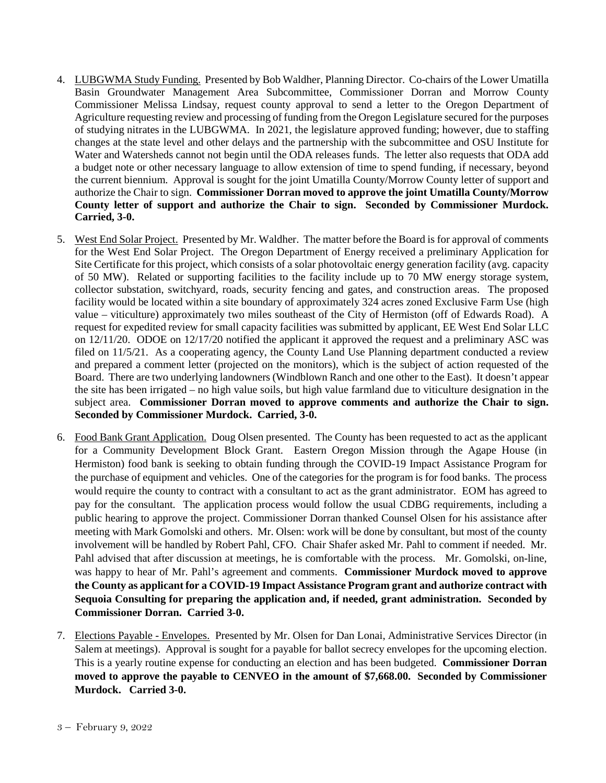- 4. LUBGWMA Study Funding. Presented by Bob Waldher, Planning Director. Co-chairs of the Lower Umatilla Basin Groundwater Management Area Subcommittee, Commissioner Dorran and Morrow County Commissioner Melissa Lindsay, request county approval to send a letter to the Oregon Department of Agriculture requesting review and processing of funding from the Oregon Legislature secured for the purposes of studying nitrates in the LUBGWMA. In 2021, the legislature approved funding; however, due to staffing changes at the state level and other delays and the partnership with the subcommittee and OSU Institute for Water and Watersheds cannot not begin until the ODA releases funds. The letter also requests that ODA add a budget note or other necessary language to allow extension of time to spend funding, if necessary, beyond the current biennium. Approval is sought for the joint Umatilla County/Morrow County letter of support and authorize the Chair to sign. **Commissioner Dorran moved to approve the joint Umatilla County/Morrow County letter of support and authorize the Chair to sign. Seconded by Commissioner Murdock. Carried, 3-0.**
- 5. West End Solar Project. Presented by Mr. Waldher. The matter before the Board is for approval of comments for the West End Solar Project. The Oregon Department of Energy received a preliminary Application for Site Certificate for this project, which consists of a solar photovoltaic energy generation facility (avg. capacity of 50 MW). Related or supporting facilities to the facility include up to 70 MW energy storage system, collector substation, switchyard, roads, security fencing and gates, and construction areas. The proposed facility would be located within a site boundary of approximately 324 acres zoned Exclusive Farm Use (high value – viticulture) approximately two miles southeast of the City of Hermiston (off of Edwards Road). A request for expedited review for small capacity facilities was submitted by applicant, EE West End Solar LLC on 12/11/20. ODOE on 12/17/20 notified the applicant it approved the request and a preliminary ASC was filed on 11/5/21. As a cooperating agency, the County Land Use Planning department conducted a review and prepared a comment letter (projected on the monitors), which is the subject of action requested of the Board. There are two underlying landowners (Windblown Ranch and one other to the East). It doesn't appear the site has been irrigated – no high value soils, but high value farmland due to viticulture designation in the subject area. **Commissioner Dorran moved to approve comments and authorize the Chair to sign. Seconded by Commissioner Murdock. Carried, 3-0.**
- 6. Food Bank Grant Application. Doug Olsen presented. The County has been requested to act as the applicant for a Community Development Block Grant. Eastern Oregon Mission through the Agape House (in Hermiston) food bank is seeking to obtain funding through the COVID-19 Impact Assistance Program for the purchase of equipment and vehicles. One of the categories for the program is for food banks. The process would require the county to contract with a consultant to act as the grant administrator. EOM has agreed to pay for the consultant. The application process would follow the usual CDBG requirements, including a public hearing to approve the project. Commissioner Dorran thanked Counsel Olsen for his assistance after meeting with Mark Gomolski and others. Mr. Olsen: work will be done by consultant, but most of the county involvement will be handled by Robert Pahl, CFO. Chair Shafer asked Mr. Pahl to comment if needed. Mr. Pahl advised that after discussion at meetings, he is comfortable with the process. Mr. Gomolski, on-line, was happy to hear of Mr. Pahl's agreement and comments. **Commissioner Murdock moved to approve the County as applicant for a COVID-19 Impact Assistance Program grant and authorize contract with Sequoia Consulting for preparing the application and, if needed, grant administration. Seconded by Commissioner Dorran. Carried 3-0.**
- 7. Elections Payable Envelopes. Presented by Mr. Olsen for Dan Lonai, Administrative Services Director (in Salem at meetings). Approval is sought for a payable for ballot secrecy envelopes for the upcoming election. This is a yearly routine expense for conducting an election and has been budgeted. **Commissioner Dorran moved to approve the payable to CENVEO in the amount of \$7,668.00. Seconded by Commissioner Murdock. Carried 3-0.**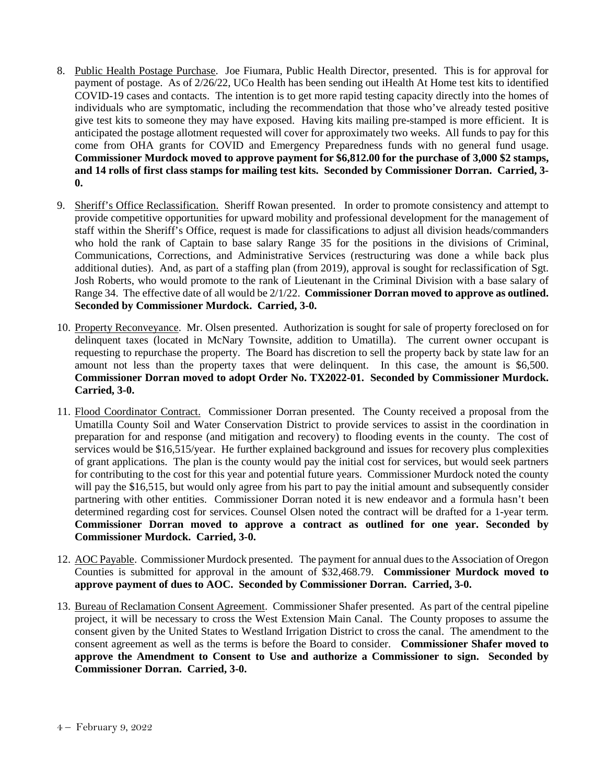- 8. Public Health Postage Purchase. Joe Fiumara, Public Health Director, presented. This is for approval for payment of postage. As of 2/26/22, UCo Health has been sending out iHealth At Home test kits to identified COVID-19 cases and contacts. The intention is to get more rapid testing capacity directly into the homes of individuals who are symptomatic, including the recommendation that those who've already tested positive give test kits to someone they may have exposed. Having kits mailing pre-stamped is more efficient. It is anticipated the postage allotment requested will cover for approximately two weeks. All funds to pay for this come from OHA grants for COVID and Emergency Preparedness funds with no general fund usage. **Commissioner Murdock moved to approve payment for \$6,812.00 for the purchase of 3,000 \$2 stamps, and 14 rolls of first class stamps for mailing test kits. Seconded by Commissioner Dorran. Carried, 3- 0.**
- 9. Sheriff's Office Reclassification. Sheriff Rowan presented. In order to promote consistency and attempt to provide competitive opportunities for upward mobility and professional development for the management of staff within the Sheriff's Office, request is made for classifications to adjust all division heads/commanders who hold the rank of Captain to base salary Range 35 for the positions in the divisions of Criminal, Communications, Corrections, and Administrative Services (restructuring was done a while back plus additional duties). And, as part of a staffing plan (from 2019), approval is sought for reclassification of Sgt. Josh Roberts, who would promote to the rank of Lieutenant in the Criminal Division with a base salary of Range 34. The effective date of all would be 2/1/22. **Commissioner Dorran moved to approve as outlined. Seconded by Commissioner Murdock. Carried, 3-0.**
- 10. Property Reconveyance. Mr. Olsen presented. Authorization is sought for sale of property foreclosed on for delinquent taxes (located in McNary Townsite, addition to Umatilla). The current owner occupant is requesting to repurchase the property. The Board has discretion to sell the property back by state law for an amount not less than the property taxes that were delinquent. In this case, the amount is \$6,500. **Commissioner Dorran moved to adopt Order No. TX2022-01. Seconded by Commissioner Murdock. Carried, 3-0.**
- 11. Flood Coordinator Contract. Commissioner Dorran presented. The County received a proposal from the Umatilla County Soil and Water Conservation District to provide services to assist in the coordination in preparation for and response (and mitigation and recovery) to flooding events in the county. The cost of services would be \$16,515/year. He further explained background and issues for recovery plus complexities of grant applications. The plan is the county would pay the initial cost for services, but would seek partners for contributing to the cost for this year and potential future years. Commissioner Murdock noted the county will pay the \$16,515, but would only agree from his part to pay the initial amount and subsequently consider partnering with other entities. Commissioner Dorran noted it is new endeavor and a formula hasn't been determined regarding cost for services. Counsel Olsen noted the contract will be drafted for a 1-year term. **Commissioner Dorran moved to approve a contract as outlined for one year. Seconded by Commissioner Murdock. Carried, 3-0.**
- 12. AOC Payable. Commissioner Murdock presented. The payment for annual dues to the Association of Oregon Counties is submitted for approval in the amount of \$32,468.79. **Commissioner Murdock moved to approve payment of dues to AOC. Seconded by Commissioner Dorran. Carried, 3-0.**
- 13. Bureau of Reclamation Consent Agreement. Commissioner Shafer presented. As part of the central pipeline project, it will be necessary to cross the West Extension Main Canal. The County proposes to assume the consent given by the United States to Westland Irrigation District to cross the canal. The amendment to the consent agreement as well as the terms is before the Board to consider. **Commissioner Shafer moved to approve the Amendment to Consent to Use and authorize a Commissioner to sign. Seconded by Commissioner Dorran. Carried, 3-0.**